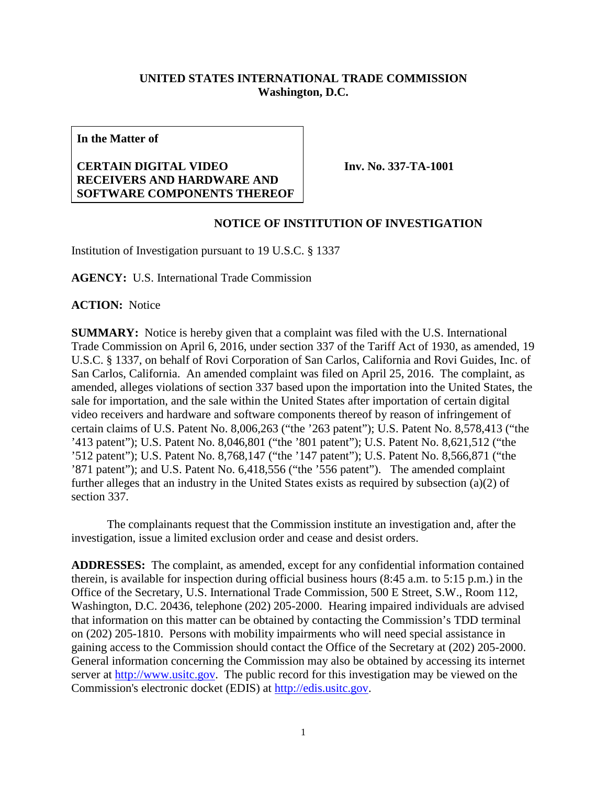## **UNITED STATES INTERNATIONAL TRADE COMMISSION Washington, D.C.**

**In the Matter of**

## **CERTAIN DIGITAL VIDEO RECEIVERS AND HARDWARE AND SOFTWARE COMPONENTS THEREOF**

**Inv. No. 337-TA-1001**

## **NOTICE OF INSTITUTION OF INVESTIGATION**

Institution of Investigation pursuant to 19 U.S.C. § 1337

**AGENCY:** U.S. International Trade Commission

**ACTION:** Notice

**SUMMARY:** Notice is hereby given that a complaint was filed with the U.S. International Trade Commission on April 6, 2016, under section 337 of the Tariff Act of 1930, as amended, 19 U.S.C. § 1337, on behalf of Rovi Corporation of San Carlos, California and Rovi Guides, Inc. of San Carlos, California. An amended complaint was filed on April 25, 2016. The complaint, as amended, alleges violations of section 337 based upon the importation into the United States, the sale for importation, and the sale within the United States after importation of certain digital video receivers and hardware and software components thereof by reason of infringement of certain claims of U.S. Patent No. 8,006,263 ("the '263 patent"); U.S. Patent No. 8,578,413 ("the '413 patent"); U.S. Patent No. 8,046,801 ("the '801 patent"); U.S. Patent No. 8,621,512 ("the '512 patent"); U.S. Patent No. 8,768,147 ("the '147 patent"); U.S. Patent No. 8,566,871 ("the '871 patent"); and U.S. Patent No. 6,418,556 ("the '556 patent"). The amended complaint further alleges that an industry in the United States exists as required by subsection (a)(2) of section 337.

The complainants request that the Commission institute an investigation and, after the investigation, issue a limited exclusion order and cease and desist orders.

**ADDRESSES:** The complaint, as amended, except for any confidential information contained therein, is available for inspection during official business hours (8:45 a.m. to 5:15 p.m.) in the Office of the Secretary, U.S. International Trade Commission, 500 E Street, S.W., Room 112, Washington, D.C. 20436, telephone (202) 205-2000. Hearing impaired individuals are advised that information on this matter can be obtained by contacting the Commission's TDD terminal on (202) 205-1810. Persons with mobility impairments who will need special assistance in gaining access to the Commission should contact the Office of the Secretary at (202) 205-2000. General information concerning the Commission may also be obtained by accessing its internet server at [http://www.usitc.gov.](http://www.usitc.gov/) The public record for this investigation may be viewed on the Commission's electronic docket (EDIS) at [http://edis.usitc.gov.](http://edis.usitc.gov/)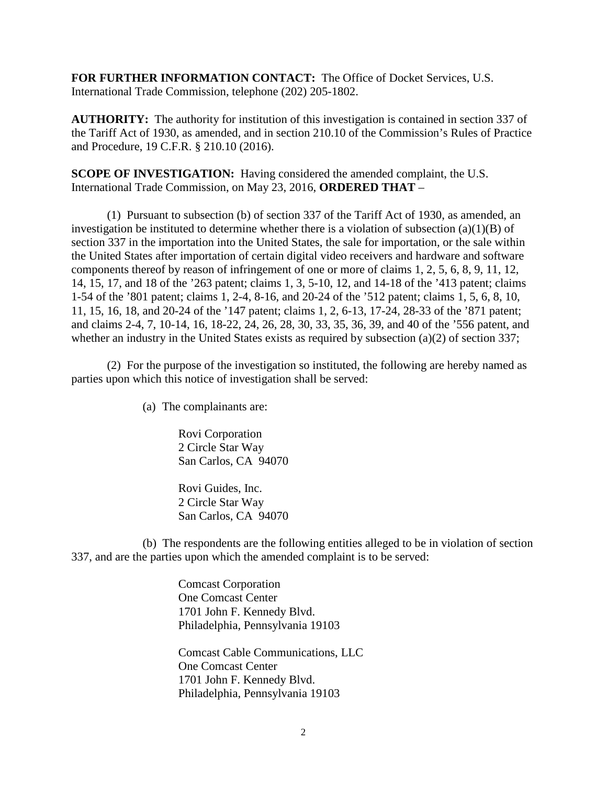**FOR FURTHER INFORMATION CONTACT:** The Office of Docket Services, U.S. International Trade Commission, telephone (202) 205-1802.

**AUTHORITY:** The authority for institution of this investigation is contained in section 337 of the Tariff Act of 1930, as amended, and in section 210.10 of the Commission's Rules of Practice and Procedure, 19 C.F.R. § 210.10 (2016).

**SCOPE OF INVESTIGATION:** Having considered the amended complaint, the U.S. International Trade Commission, on May 23, 2016, **ORDERED THAT** –

(1) Pursuant to subsection (b) of section 337 of the Tariff Act of 1930, as amended, an investigation be instituted to determine whether there is a violation of subsection  $(a)(1)(B)$  of section 337 in the importation into the United States, the sale for importation, or the sale within the United States after importation of certain digital video receivers and hardware and software components thereof by reason of infringement of one or more of claims 1, 2, 5, 6, 8, 9, 11, 12, 14, 15, 17, and 18 of the '263 patent; claims 1, 3, 5-10, 12, and 14-18 of the '413 patent; claims 1-54 of the '801 patent; claims 1, 2-4, 8-16, and 20-24 of the '512 patent; claims 1, 5, 6, 8, 10, 11, 15, 16, 18, and 20-24 of the '147 patent; claims 1, 2, 6-13, 17-24, 28-33 of the '871 patent; and claims 2-4, 7, 10-14, 16, 18-22, 24, 26, 28, 30, 33, 35, 36, 39, and 40 of the '556 patent, and whether an industry in the United States exists as required by subsection (a)(2) of section 337;

(2) For the purpose of the investigation so instituted, the following are hereby named as parties upon which this notice of investigation shall be served:

(a) The complainants are:

Rovi Corporation 2 Circle Star Way San Carlos, CA 94070

Rovi Guides, Inc. 2 Circle Star Way San Carlos, CA 94070

(b) The respondents are the following entities alleged to be in violation of section 337, and are the parties upon which the amended complaint is to be served:

> Comcast Corporation One Comcast Center 1701 John F. Kennedy Blvd. Philadelphia, Pennsylvania 19103

Comcast Cable Communications, LLC One Comcast Center 1701 John F. Kennedy Blvd. Philadelphia, Pennsylvania 19103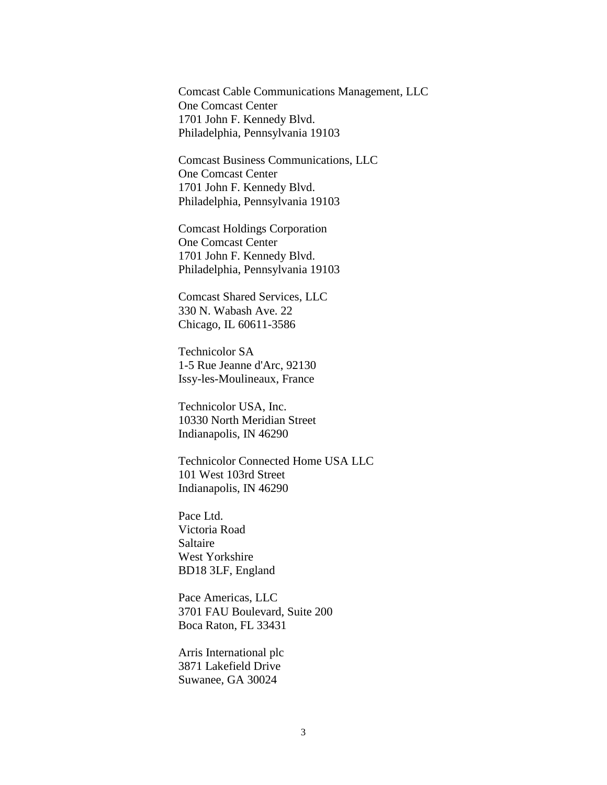Comcast Cable Communications Management, LLC One Comcast Center 1701 John F. Kennedy Blvd. Philadelphia, Pennsylvania 19103

Comcast Business Communications, LLC One Comcast Center 1701 John F. Kennedy Blvd. Philadelphia, Pennsylvania 19103

Comcast Holdings Corporation One Comcast Center 1701 John F. Kennedy Blvd. Philadelphia, Pennsylvania 19103

Comcast Shared Services, LLC 330 N. Wabash Ave. 22 Chicago, IL 60611-3586

Technicolor SA 1-5 Rue Jeanne d'Arc, 92130 Issy-les-Moulineaux, France

Technicolor USA, Inc. 10330 North Meridian Street Indianapolis, IN 46290

Technicolor Connected Home USA LLC 101 West 103rd Street Indianapolis, IN 46290

Pace Ltd. Victoria Road Saltaire West Yorkshire BD18 3LF, England

Pace Americas, LLC 3701 FAU Boulevard, Suite 200 Boca Raton, FL 33431

Arris International plc 3871 Lakefield Drive Suwanee, GA 30024